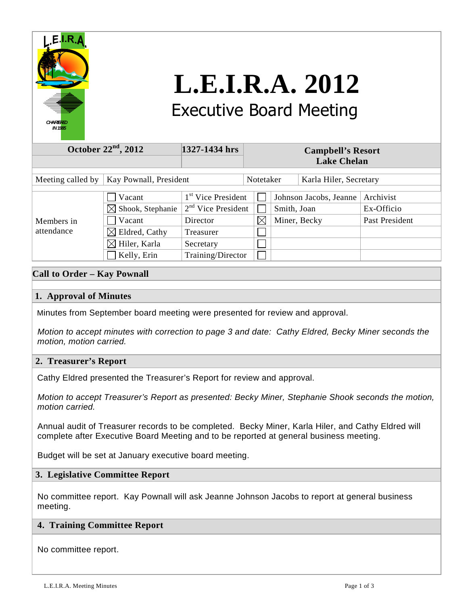

# **L.E.I.R.A. 2012**  Executive Board Meeting

| October $22nd$ , 2012                       |                                                                                                               | 1327-1434 hrs                                                                                | <b>Campbell's Resort</b><br><b>Lake Chelan</b> |             |                                        |                                           |
|---------------------------------------------|---------------------------------------------------------------------------------------------------------------|----------------------------------------------------------------------------------------------|------------------------------------------------|-------------|----------------------------------------|-------------------------------------------|
| Kay Pownall, President<br>Meeting called by |                                                                                                               |                                                                                              | Notetaker                                      |             | Karla Hiler, Secretary                 |                                           |
| Members in<br>attendance                    | Vacant<br>Shook, Stephanie<br>$\bowtie$<br>Vacant<br>Eldred, Cathy<br>$\boxtimes$<br>$\boxtimes$ Hiler, Karla | 1 <sup>st</sup> Vice President<br>$2nd$ Vice President<br>Director<br>Treasurer<br>Secretary | $\boxtimes$                                    | Smith, Joan | Johnson Jacobs, Jeanne<br>Miner, Becky | Archivist<br>Ex-Officio<br>Past President |
|                                             | Kelly, Erin                                                                                                   | Training/Director                                                                            |                                                |             |                                        |                                           |

# **Call to Order – Kay Pownall**

# **1. Approval of Minutes**

Minutes from September board meeting were presented for review and approval.

 Motion to accept minutes with correction to page 3 and date: Cathy Eldred, Becky Miner seconds the motion, motion carried.

## **2. Treasurer's Report**

Cathy Eldred presented the Treasurer's Report for review and approval.

 Motion to accept Treasurer's Report as presented: Becky Miner, Stephanie Shook seconds the motion, motion carried.

 Annual audit of Treasurer records to be completed. Becky Miner, Karla Hiler, and Cathy Eldred will complete after Executive Board Meeting and to be reported at general business meeting.

Budget will be set at January executive board meeting.

# **3. Legislative Committee Report**

 No committee report. Kay Pownall will ask Jeanne Johnson Jacobs to report at general business meeting.

## **4. Training Committee Report**

No committee report.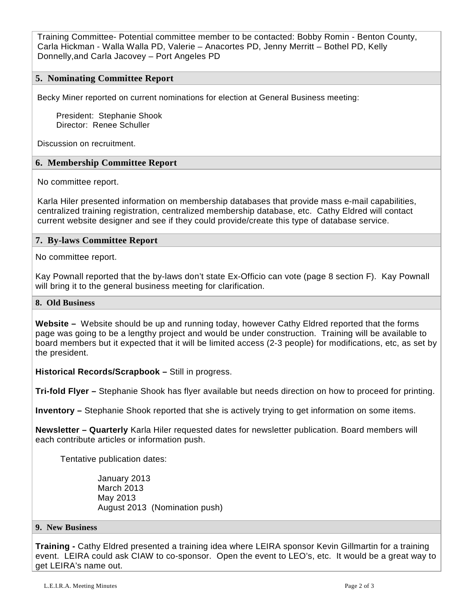Training Committee- Potential committee member to be contacted: Bobby Romin - Benton County, Carla Hickman - Walla Walla PD, Valerie – Anacortes PD, Jenny Merritt – Bothel PD, Kelly Donnelly,and Carla Jacovey – Port Angeles PD

## **5. Nominating Committee Report**

Becky Miner reported on current nominations for election at General Business meeting:

 President: Stephanie Shook Director: Renee Schuller

Discussion on recruitment.

#### **6. Membership Committee Report**

No committee report.

 Karla Hiler presented information on membership databases that provide mass e-mail capabilities, centralized training registration, centralized membership database, etc. Cathy Eldred will contact current website designer and see if they could provide/create this type of database service.

#### **7. By-laws Committee Report**

No committee report.

Kay Pownall reported that the by-laws don't state Ex-Officio can vote (page 8 section F). Kay Pownall will bring it to the general business meeting for clarification.

#### **8. Old Business**

**Website –** Website should be up and running today, however Cathy Eldred reported that the forms page was going to be a lengthy project and would be under construction. Training will be available to board members but it expected that it will be limited access (2-3 people) for modifications, etc, as set by the president.

**Historical Records/Scrapbook –** Still in progress.

**Tri-fold Flyer –** Stephanie Shook has flyer available but needs direction on how to proceed for printing.

**Inventory –** Stephanie Shook reported that she is actively trying to get information on some items.

**Newsletter – Quarterly** Karla Hiler requested dates for newsletter publication. Board members will each contribute articles or information push.

Tentative publication dates:

 January 2013 March 2013 May 2013 August 2013 (Nomination push)

#### **9. New Business**

**Training -** Cathy Eldred presented a training idea where LEIRA sponsor Kevin Gillmartin for a training event. LEIRA could ask CIAW to co-sponsor. Open the event to LEO's, etc. It would be a great way to get LEIRA's name out.